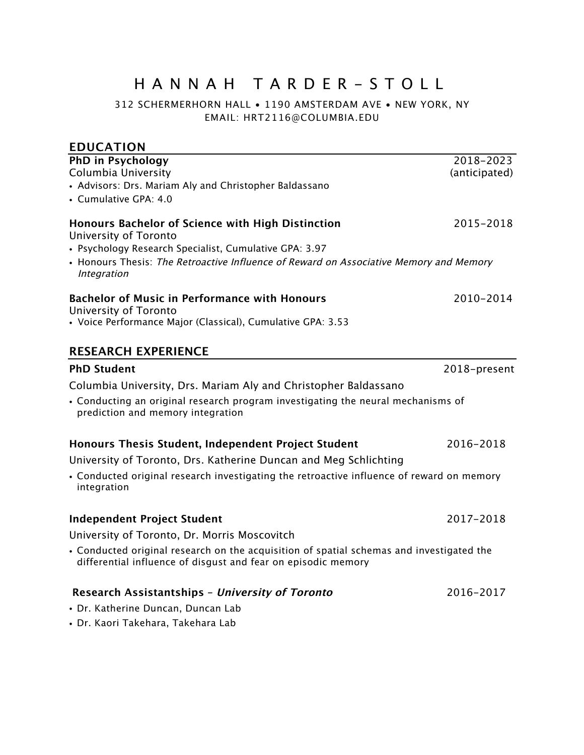# HANNAH TARDER - STOLL

312 SCHERMERHORN HALL • 1190 AMSTERDAM AVE • NEW YORK, NY EMAIL: HRT2116@COLUMBIA.EDU

| <b>EDUCATION</b>                                                                                                                                                                                                                              |                            |
|-----------------------------------------------------------------------------------------------------------------------------------------------------------------------------------------------------------------------------------------------|----------------------------|
| PhD in Psychology<br>Columbia University<br>• Advisors: Drs. Mariam Aly and Christopher Baldassano<br>• Cumulative GPA: 4.0                                                                                                                   | 2018-2023<br>(anticipated) |
| Honours Bachelor of Science with High Distinction<br>University of Toronto<br>• Psychology Research Specialist, Cumulative GPA: 3.97<br>• Honours Thesis: The Retroactive Influence of Reward on Associative Memory and Memory<br>Integration | 2015-2018                  |
| <b>Bachelor of Music in Performance with Honours</b><br>University of Toronto<br>• Voice Performance Major (Classical), Cumulative GPA: 3.53                                                                                                  | 2010-2014                  |
| <b>RESEARCH EXPERIENCE</b>                                                                                                                                                                                                                    |                            |
| <b>PhD Student</b>                                                                                                                                                                                                                            | 2018-present               |
| Columbia University, Drs. Mariam Aly and Christopher Baldassano<br>• Conducting an original research program investigating the neural mechanisms of<br>prediction and memory integration                                                      |                            |
| Honours Thesis Student, Independent Project Student                                                                                                                                                                                           | 2016-2018                  |
| University of Toronto, Drs. Katherine Duncan and Meg Schlichting                                                                                                                                                                              |                            |
| • Conducted original research investigating the retroactive influence of reward on memory<br>integration                                                                                                                                      |                            |
| <b>Independent Project Student</b>                                                                                                                                                                                                            | 2017-2018                  |
| University of Toronto, Dr. Morris Moscovitch                                                                                                                                                                                                  |                            |
| • Conducted original research on the acquisition of spatial schemas and investigated the<br>differential influence of disgust and fear on episodic memory                                                                                     |                            |
| Research Assistantships - University of Toronto<br>• Dr. Katherine Duncan, Duncan Lab<br>· Dr. Kaori Takehara, Takehara Lab                                                                                                                   | 2016-2017                  |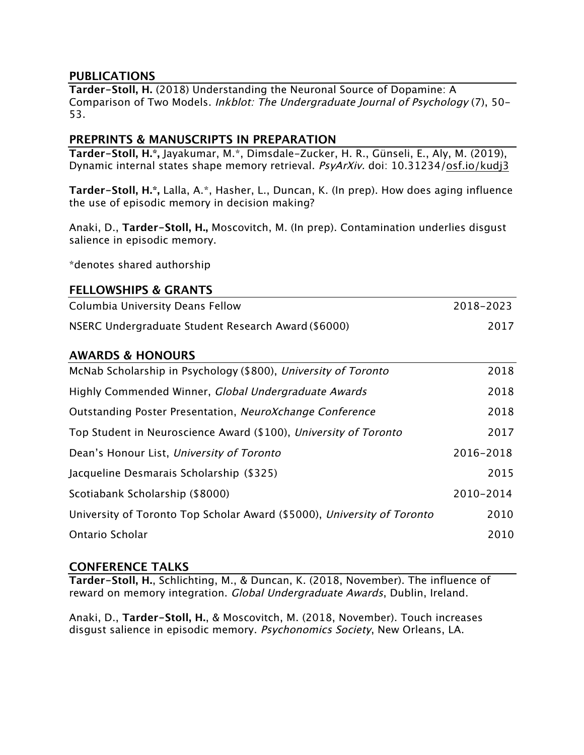#### **PUBLICATIONS**

**Tarder-Stoll, H.** (2018) Understanding the Neuronal Source of Dopamine: A Comparison of Two Models. Inkblot: The Undergraduate Journal of Psychology (7), 50- 53.

#### **PREPRINTS & MANUSCRIPTS IN PREPARATION**

**Tarder-Stoll, H.\*,** Jayakumar, M.\*, Dimsdale-Zucker, H. R., Günseli, E., Aly, M. (2019), Dynamic internal states shape memory retrieval. PsyArXiv. doi: 10.31234/osf.io/kudj3

**Tarder-Stoll, H.\*,** Lalla, A.\*, Hasher, L., Duncan, K. (In prep). How does aging influence the use of episodic memory in decision making?

Anaki, D., **Tarder-Stoll, H.,** Moscovitch, M. (In prep). Contamination underlies disgust salience in episodic memory.

\*denotes shared authorship

#### **FELLOWSHIPS & GRANTS**

| Columbia University Deans Fellow                    | 2018–2023 |
|-----------------------------------------------------|-----------|
| NSERC Undergraduate Student Research Award (\$6000) | 2017      |

#### **AWARDS & HONOURS**

| McNab Scholarship in Psychology (\$800), University of Toronto          | 2018      |
|-------------------------------------------------------------------------|-----------|
| Highly Commended Winner, Global Undergraduate Awards                    | 2018      |
| Outstanding Poster Presentation, NeuroXchange Conference                | 2018      |
| Top Student in Neuroscience Award (\$100), University of Toronto        | 2017      |
| Dean's Honour List, University of Toronto                               | 2016-2018 |
| Jacqueline Desmarais Scholarship (\$325)                                | 2015      |
| Scotiabank Scholarship (\$8000)                                         | 2010-2014 |
| University of Toronto Top Scholar Award (\$5000), University of Toronto | 2010      |
| Ontario Scholar                                                         | 2010      |

#### **CONFERENCE TALKS**

**Tarder-Stoll, H.**, Schlichting, M., & Duncan, K. (2018, November). The influence of reward on memory integration. Global Undergraduate Awards, Dublin, Ireland.

Anaki, D., **Tarder-Stoll, H.**, & Moscovitch, M. (2018, November). Touch increases disgust salience in episodic memory. Psychonomics Society, New Orleans, LA.